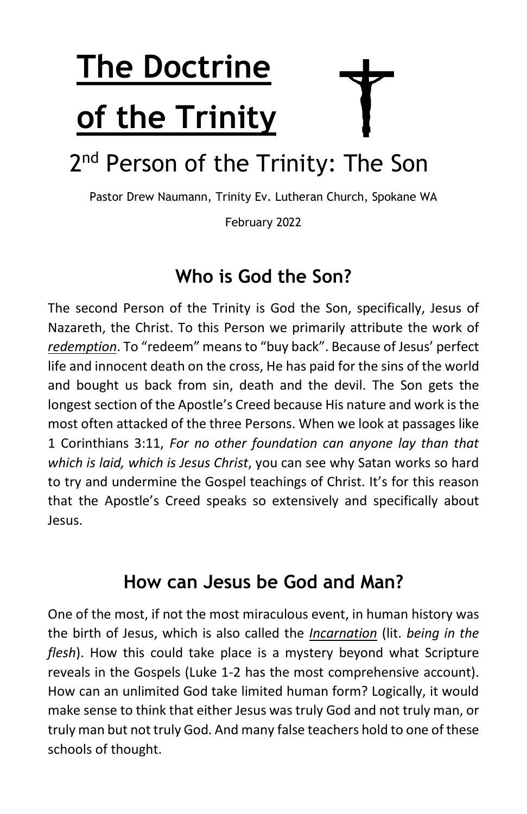# **The Doctrine of the Trinity**

# 2<sup>nd</sup> Person of the Trinity: The Son

Pastor Drew Naumann, Trinity Ev. Lutheran Church, Spokane WA

February 2022

#### **Who is God the Son?**

The second Person of the Trinity is God the Son, specifically, Jesus of Nazareth, the Christ. To this Person we primarily attribute the work of *redemption*. To "redeem" means to "buy back". Because of Jesus' perfect life and innocent death on the cross, He has paid for the sins of the world and bought us back from sin, death and the devil. The Son gets the longest section of the Apostle's Creed because His nature and work is the most often attacked of the three Persons. When we look at passages like 1 Corinthians 3:11, *For no other foundation can anyone lay than that which is laid, which is Jesus Christ*, you can see why Satan works so hard to try and undermine the Gospel teachings of Christ. It's for this reason that the Apostle's Creed speaks so extensively and specifically about Jesus.

#### **How can Jesus be God and Man?**

One of the most, if not the most miraculous event, in human history was the birth of Jesus, which is also called the *Incarnation* (lit. *being in the flesh*). How this could take place is a mystery beyond what Scripture reveals in the Gospels (Luke 1-2 has the most comprehensive account). How can an unlimited God take limited human form? Logically, it would make sense to think that either Jesus was truly God and not truly man, or truly man but not truly God. And many false teachers hold to one of these schools of thought.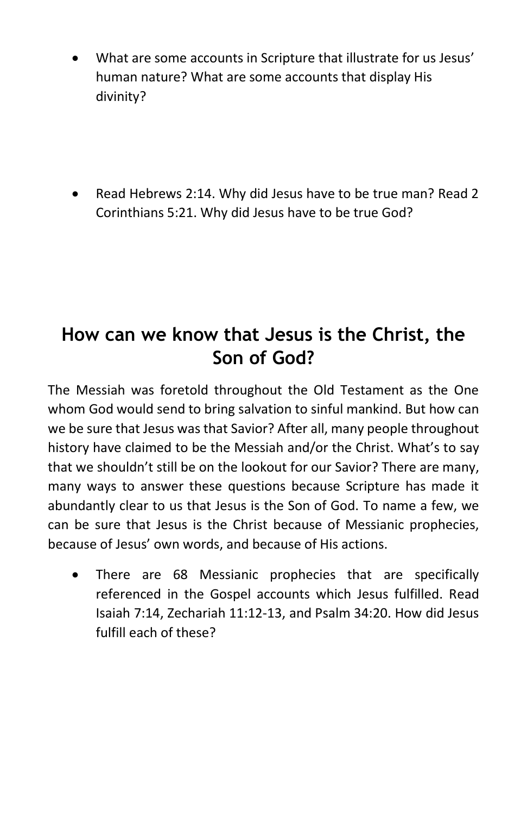- What are some accounts in Scripture that illustrate for us Jesus' human nature? What are some accounts that display His divinity?
- Read Hebrews 2:14. Why did Jesus have to be true man? Read 2 Corinthians 5:21. Why did Jesus have to be true God?

## **How can we know that Jesus is the Christ, the Son of God?**

The Messiah was foretold throughout the Old Testament as the One whom God would send to bring salvation to sinful mankind. But how can we be sure that Jesus was that Savior? After all, many people throughout history have claimed to be the Messiah and/or the Christ. What's to say that we shouldn't still be on the lookout for our Savior? There are many, many ways to answer these questions because Scripture has made it abundantly clear to us that Jesus is the Son of God. To name a few, we can be sure that Jesus is the Christ because of Messianic prophecies, because of Jesus' own words, and because of His actions.

• There are 68 Messianic prophecies that are specifically referenced in the Gospel accounts which Jesus fulfilled. Read Isaiah 7:14, Zechariah 11:12-13, and Psalm 34:20. How did Jesus fulfill each of these?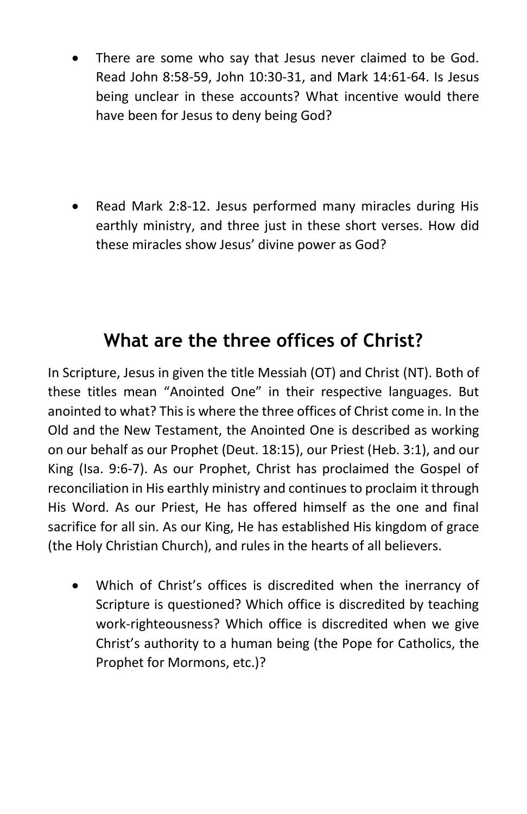- There are some who say that Jesus never claimed to be God. Read John 8:58-59, John 10:30-31, and Mark 14:61-64. Is Jesus being unclear in these accounts? What incentive would there have been for Jesus to deny being God?
- Read Mark 2:8-12. Jesus performed many miracles during His earthly ministry, and three just in these short verses. How did these miracles show Jesus' divine power as God?

## **What are the three offices of Christ?**

In Scripture, Jesus in given the title Messiah (OT) and Christ (NT). Both of these titles mean "Anointed One" in their respective languages. But anointed to what? This is where the three offices of Christ come in. In the Old and the New Testament, the Anointed One is described as working on our behalf as our Prophet (Deut. 18:15), our Priest (Heb. 3:1), and our King (Isa. 9:6-7). As our Prophet, Christ has proclaimed the Gospel of reconciliation in His earthly ministry and continues to proclaim it through His Word. As our Priest, He has offered himself as the one and final sacrifice for all sin. As our King, He has established His kingdom of grace (the Holy Christian Church), and rules in the hearts of all believers.

• Which of Christ's offices is discredited when the inerrancy of Scripture is questioned? Which office is discredited by teaching work-righteousness? Which office is discredited when we give Christ's authority to a human being (the Pope for Catholics, the Prophet for Mormons, etc.)?